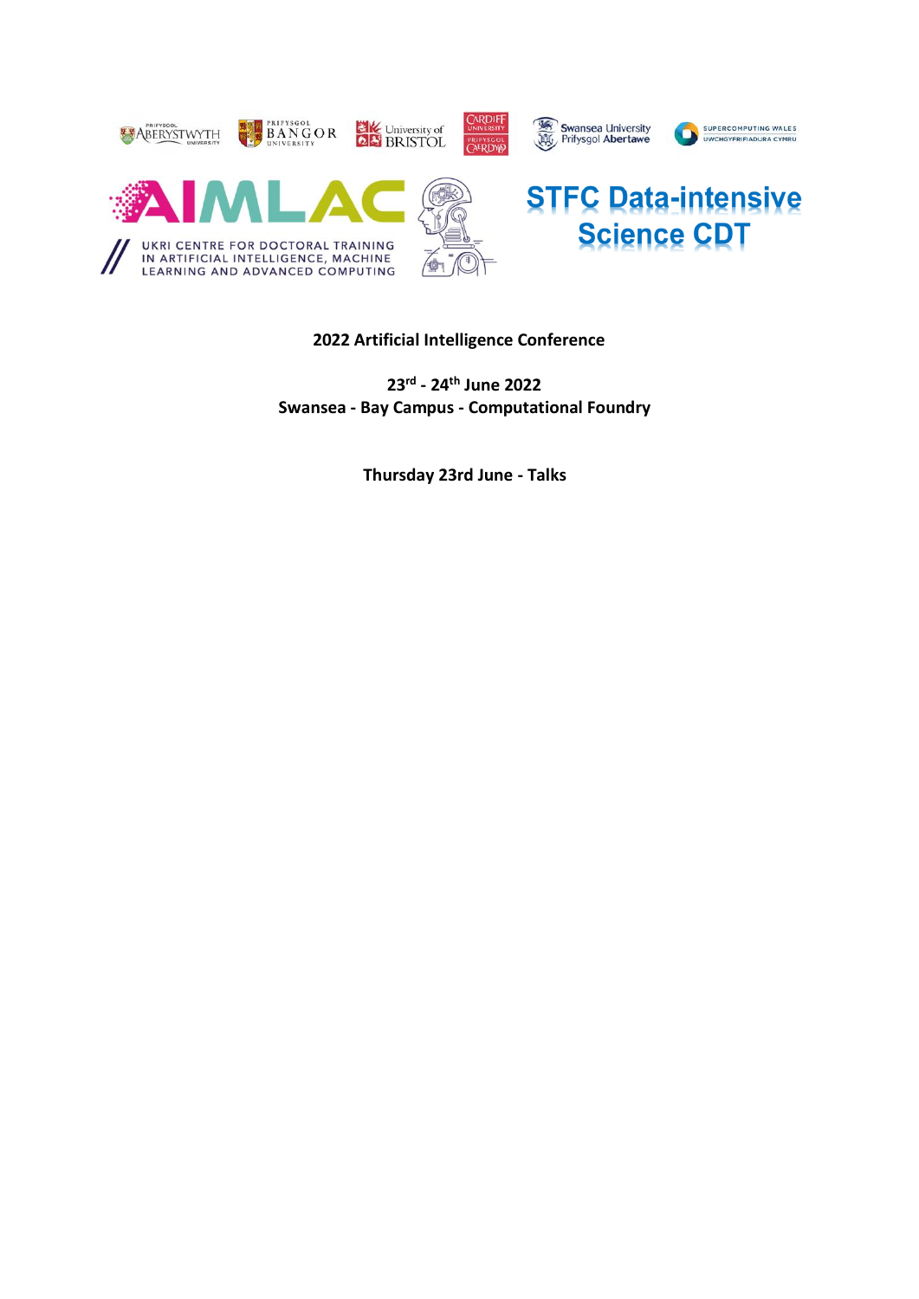

# **2022 Artificial Intelligence Conference**

**23rd - 24th June 2022 Swansea - Bay Campus - Computational Foundry**

**Thursday 23rd June - Talks**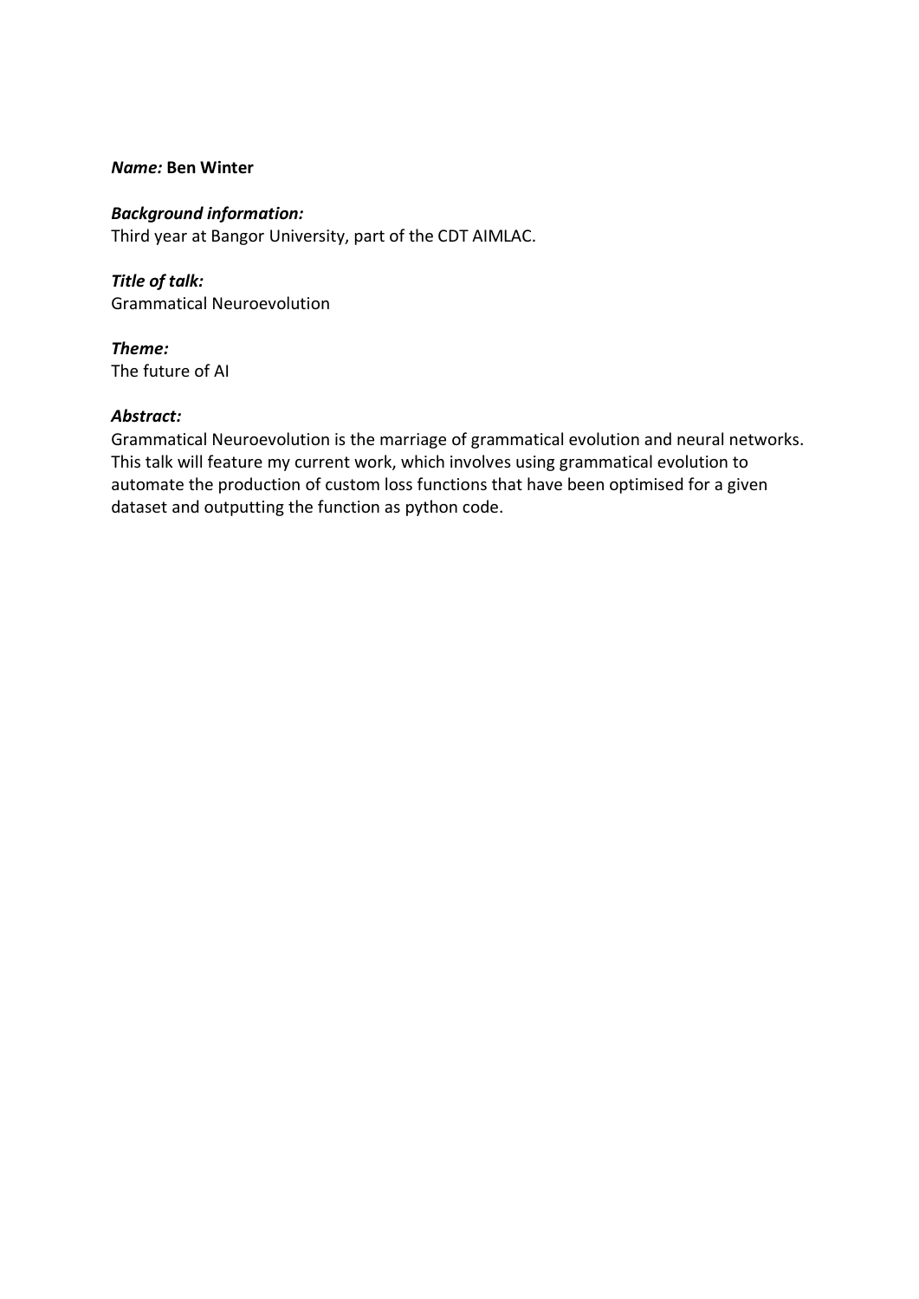## *Name:* **Ben Winter**

## *Background information:*

Third year at Bangor University, part of the CDT AIMLAC.

*Title of talk:* Grammatical Neuroevolution

*Theme:* The future of AI

## *Abstract:*

Grammatical Neuroevolution is the marriage of grammatical evolution and neural networks. This talk will feature my current work, which involves using grammatical evolution to automate the production of custom loss functions that have been optimised for a given dataset and outputting the function as python code.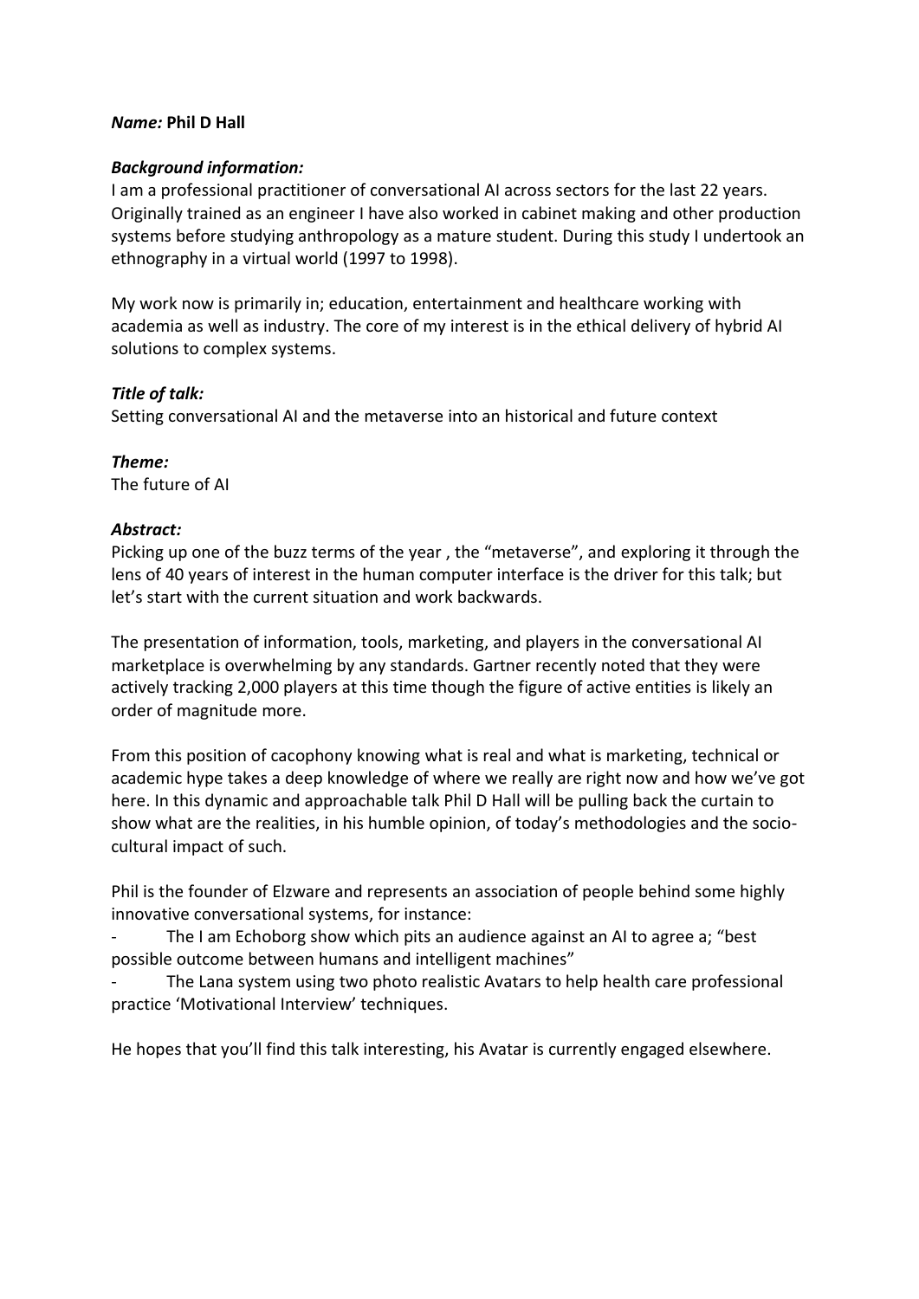## *Name:* **Phil D Hall**

## *Background information:*

I am a professional practitioner of conversational AI across sectors for the last 22 years. Originally trained as an engineer I have also worked in cabinet making and other production systems before studying anthropology as a mature student. During this study I undertook an ethnography in a virtual world (1997 to 1998).

My work now is primarily in; education, entertainment and healthcare working with academia as well as industry. The core of my interest is in the ethical delivery of hybrid AI solutions to complex systems.

# *Title of talk:*

Setting conversational AI and the metaverse into an historical and future context

*Theme:* The future of AI

# *Abstract:*

Picking up one of the buzz terms of the year, the "metaverse", and exploring it through the lens of 40 years of interest in the human computer interface is the driver for this talk; but let's start with the current situation and work backwards.

The presentation of information, tools, marketing, and players in the conversational AI marketplace is overwhelming by any standards. Gartner recently noted that they were actively tracking 2,000 players at this time though the figure of active entities is likely an order of magnitude more.

From this position of cacophony knowing what is real and what is marketing, technical or academic hype takes a deep knowledge of where we really are right now and how we've got here. In this dynamic and approachable talk Phil D Hall will be pulling back the curtain to show what are the realities, in his humble opinion, of today's methodologies and the sociocultural impact of such.

Phil is the founder of Elzware and represents an association of people behind some highly innovative conversational systems, for instance:

The I am Echoborg show which pits an audience against an AI to agree a; "best possible outcome between humans and intelligent machines"

The Lana system using two photo realistic Avatars to help health care professional practice 'Motivational Interview' techniques.

He hopes that you'll find this talk interesting, his Avatar is currently engaged elsewhere.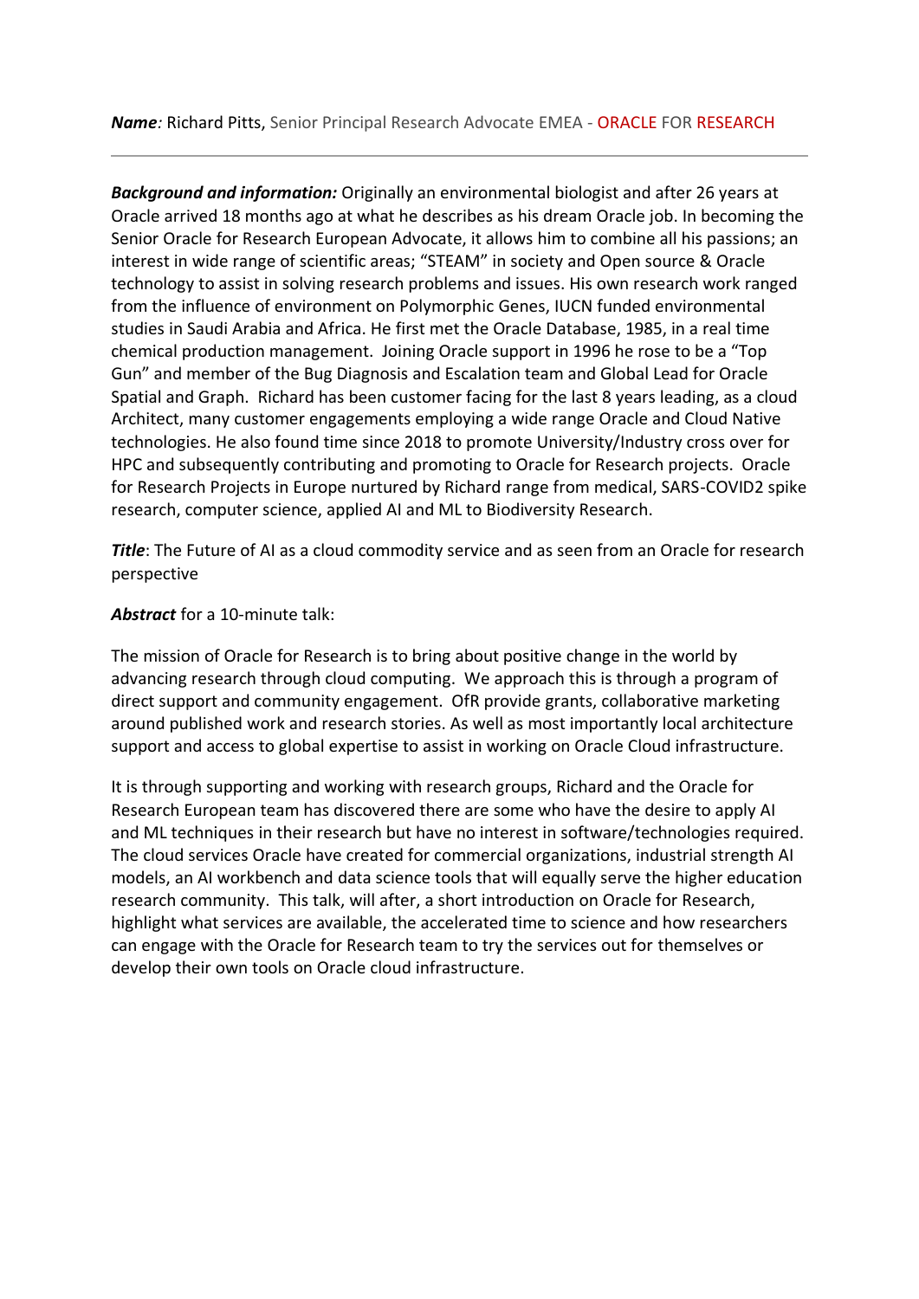*Background and information:* Originally an environmental biologist and after 26 years at Oracle arrived 18 months ago at what he describes as his dream Oracle job. In becoming the Senior Oracle for Research European Advocate, it allows him to combine all his passions; an interest in wide range of scientific areas; "STEAM" in society and Open source & Oracle technology to assist in solving research problems and issues. His own research work ranged from the influence of environment on Polymorphic Genes, IUCN funded environmental studies in Saudi Arabia and Africa. He first met the Oracle Database, 1985, in a real time chemical production management. Joining Oracle support in 1996 he rose to be a "Top Gun" and member of the Bug Diagnosis and Escalation team and Global Lead for Oracle Spatial and Graph. Richard has been customer facing for the last 8 years leading, as a cloud Architect, many customer engagements employing a wide range Oracle and Cloud Native technologies. He also found time since 2018 to promote University/Industry cross over for HPC and subsequently contributing and promoting to Oracle for Research projects. Oracle for Research Projects in Europe nurtured by Richard range from medical, SARS-COVID2 spike research, computer science, applied AI and ML to Biodiversity Research.

**Title**: The Future of AI as a cloud commodity service and as seen from an Oracle for research perspective

# *Abstract* for a 10-minute talk:

The mission of Oracle for Research is to bring about positive change in the world by advancing research through cloud computing. We approach this is through a program of direct support and community engagement. OfR provide grants, collaborative marketing around published work and research stories. As well as most importantly local architecture support and access to global expertise to assist in working on Oracle Cloud infrastructure.

It is through supporting and working with research groups, Richard and the Oracle for Research European team has discovered there are some who have the desire to apply AI and ML techniques in their research but have no interest in software/technologies required. The cloud services Oracle have created for commercial organizations, industrial strength AI models, an AI workbench and data science tools that will equally serve the higher education research community. This talk, will after, a short introduction on Oracle for Research, highlight what services are available, the accelerated time to science and how researchers can engage with the Oracle for Research team to try the services out for themselves or develop their own tools on Oracle cloud infrastructure.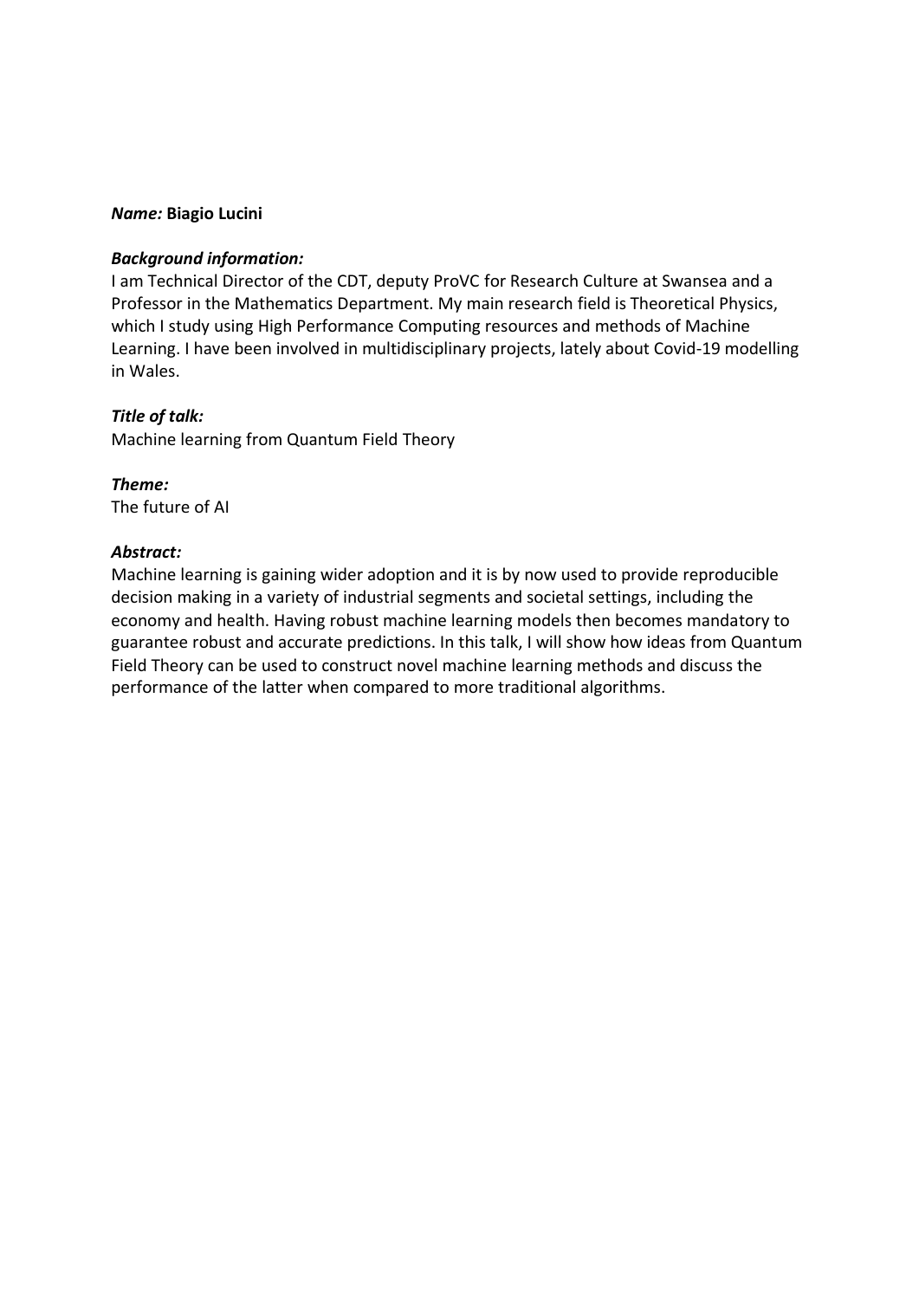#### *Name:* **Biagio Lucini**

### *Background information:*

I am Technical Director of the CDT, deputy ProVC for Research Culture at Swansea and a Professor in the Mathematics Department. My main research field is Theoretical Physics, which I study using High Performance Computing resources and methods of Machine Learning. I have been involved in multidisciplinary projects, lately about Covid-19 modelling in Wales.

### *Title of talk:*

Machine learning from Quantum Field Theory

# *Theme:*

The future of AI

### *Abstract:*

Machine learning is gaining wider adoption and it is by now used to provide reproducible decision making in a variety of industrial segments and societal settings, including the economy and health. Having robust machine learning models then becomes mandatory to guarantee robust and accurate predictions. In this talk, I will show how ideas from Quantum Field Theory can be used to construct novel machine learning methods and discuss the performance of the latter when compared to more traditional algorithms.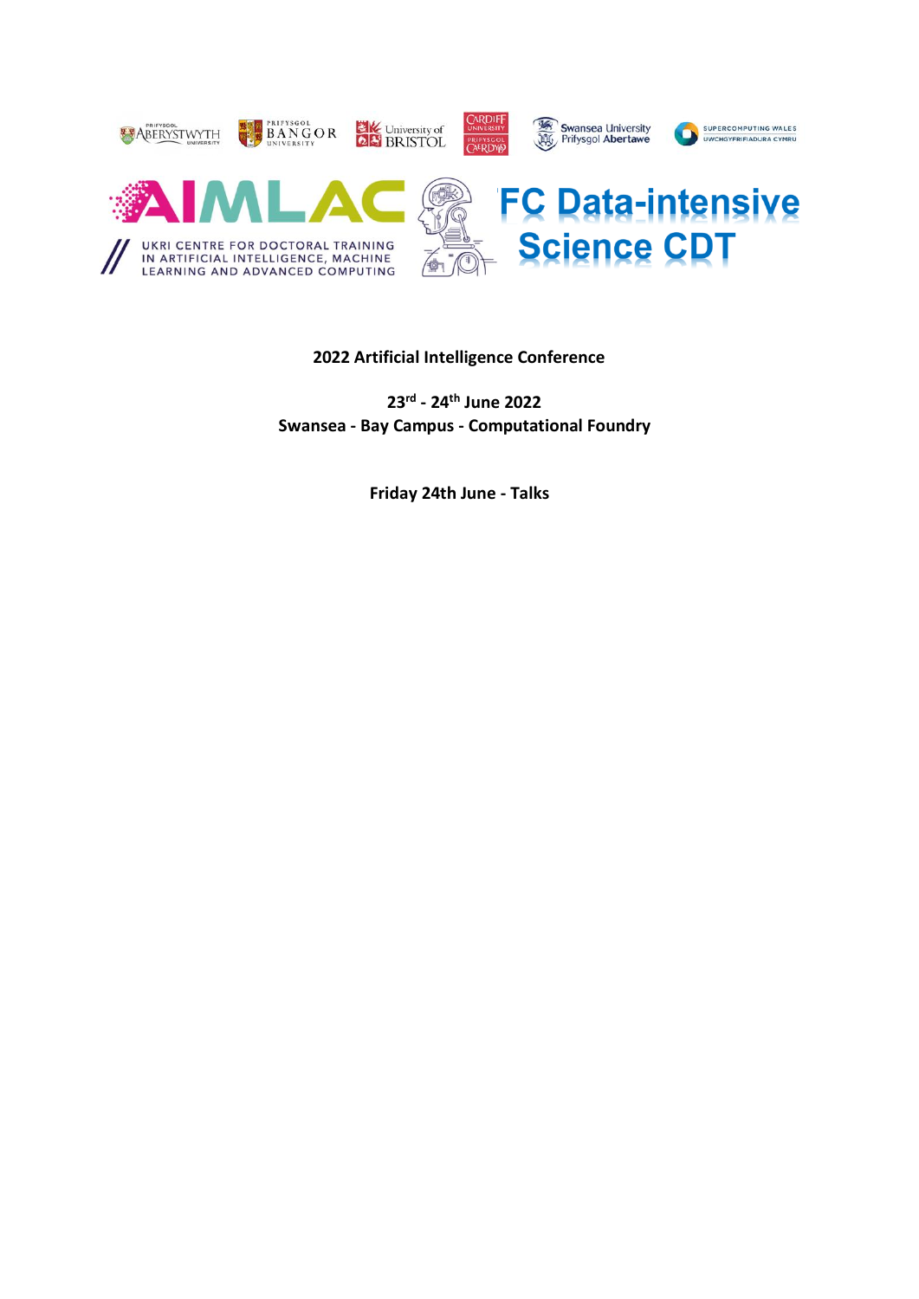

# **2022 Artificial Intelligence Conference**

**23rd - 24th June 2022 Swansea - Bay Campus - Computational Foundry**

**Friday 24th June - Talks**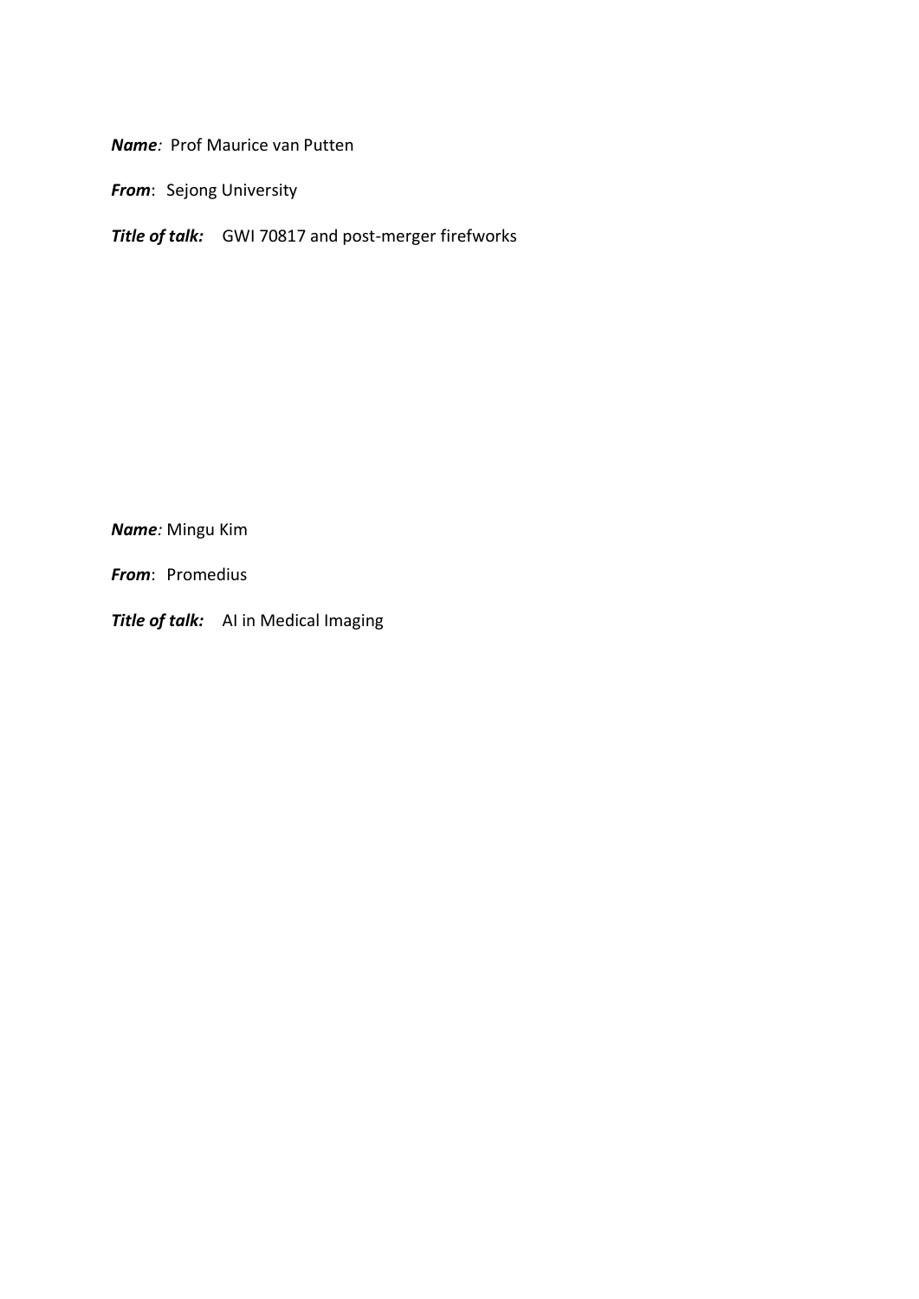*Name:* Prof Maurice van Putten

*From*: Sejong University

*Title of talk:* GWI 70817 and post-merger firefworks

*Name:* Mingu Kim

*From*: Promedius

*Title of talk:* AI in Medical Imaging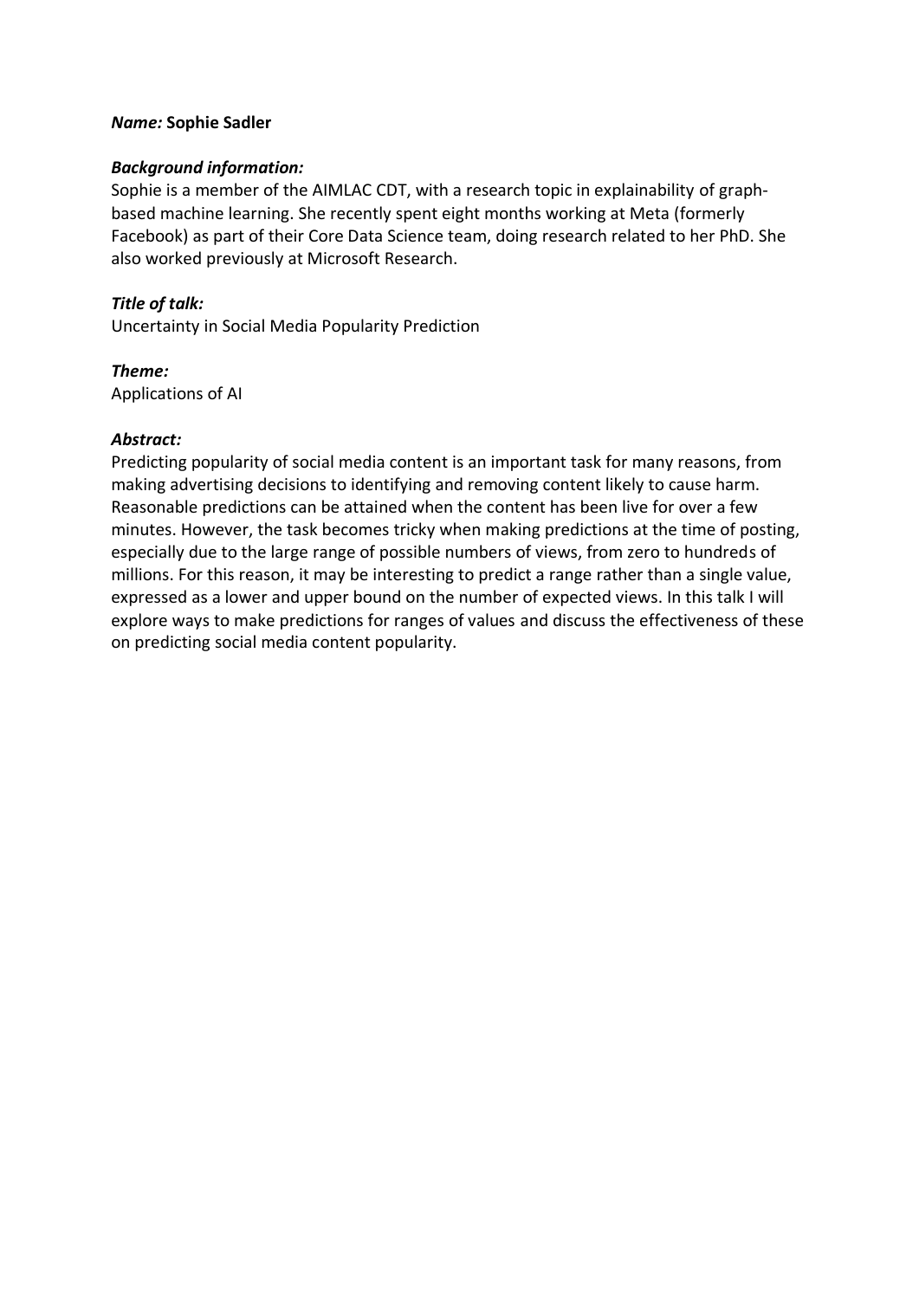### *Name:* **Sophie Sadler**

#### *Background information:*

Sophie is a member of the AIMLAC CDT, with a research topic in explainability of graphbased machine learning. She recently spent eight months working at Meta (formerly Facebook) as part of their Core Data Science team, doing research related to her PhD. She also worked previously at Microsoft Research.

## *Title of talk:*

Uncertainty in Social Media Popularity Prediction

### *Theme:*

Applications of AI

#### *Abstract:*

Predicting popularity of social media content is an important task for many reasons, from making advertising decisions to identifying and removing content likely to cause harm. Reasonable predictions can be attained when the content has been live for over a few minutes. However, the task becomes tricky when making predictions at the time of posting, especially due to the large range of possible numbers of views, from zero to hundreds of millions. For this reason, it may be interesting to predict a range rather than a single value, expressed as a lower and upper bound on the number of expected views. In this talk I will explore ways to make predictions for ranges of values and discuss the effectiveness of these on predicting social media content popularity.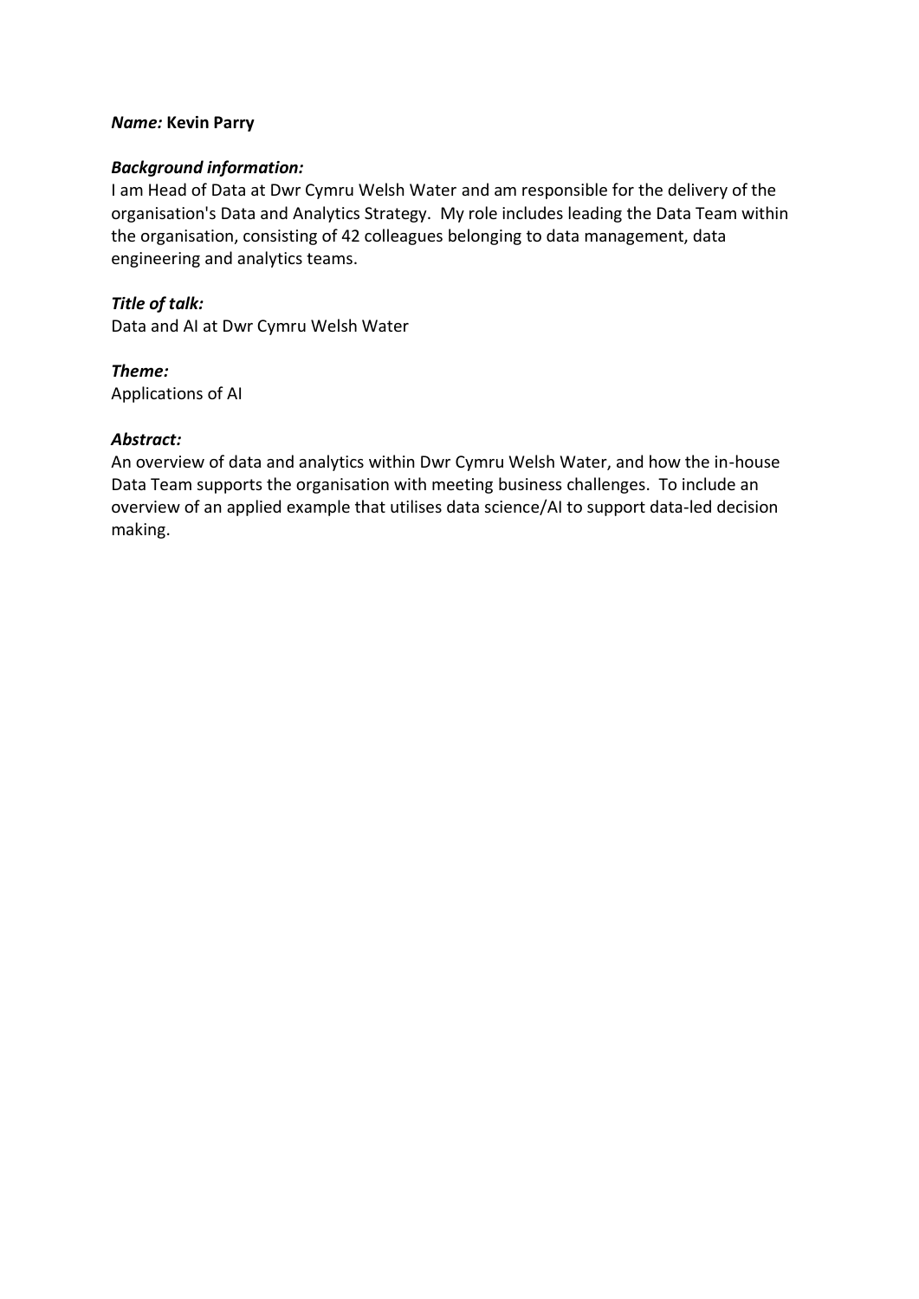### *Name:* **Kevin Parry**

#### *Background information:*

I am Head of Data at Dwr Cymru Welsh Water and am responsible for the delivery of the organisation's Data and Analytics Strategy. My role includes leading the Data Team within the organisation, consisting of 42 colleagues belonging to data management, data engineering and analytics teams.

*Title of talk:* Data and AI at Dwr Cymru Welsh Water

*Theme:* Applications of AI

#### *Abstract:*

An overview of data and analytics within Dwr Cymru Welsh Water, and how the in-house Data Team supports the organisation with meeting business challenges. To include an overview of an applied example that utilises data science/AI to support data-led decision making.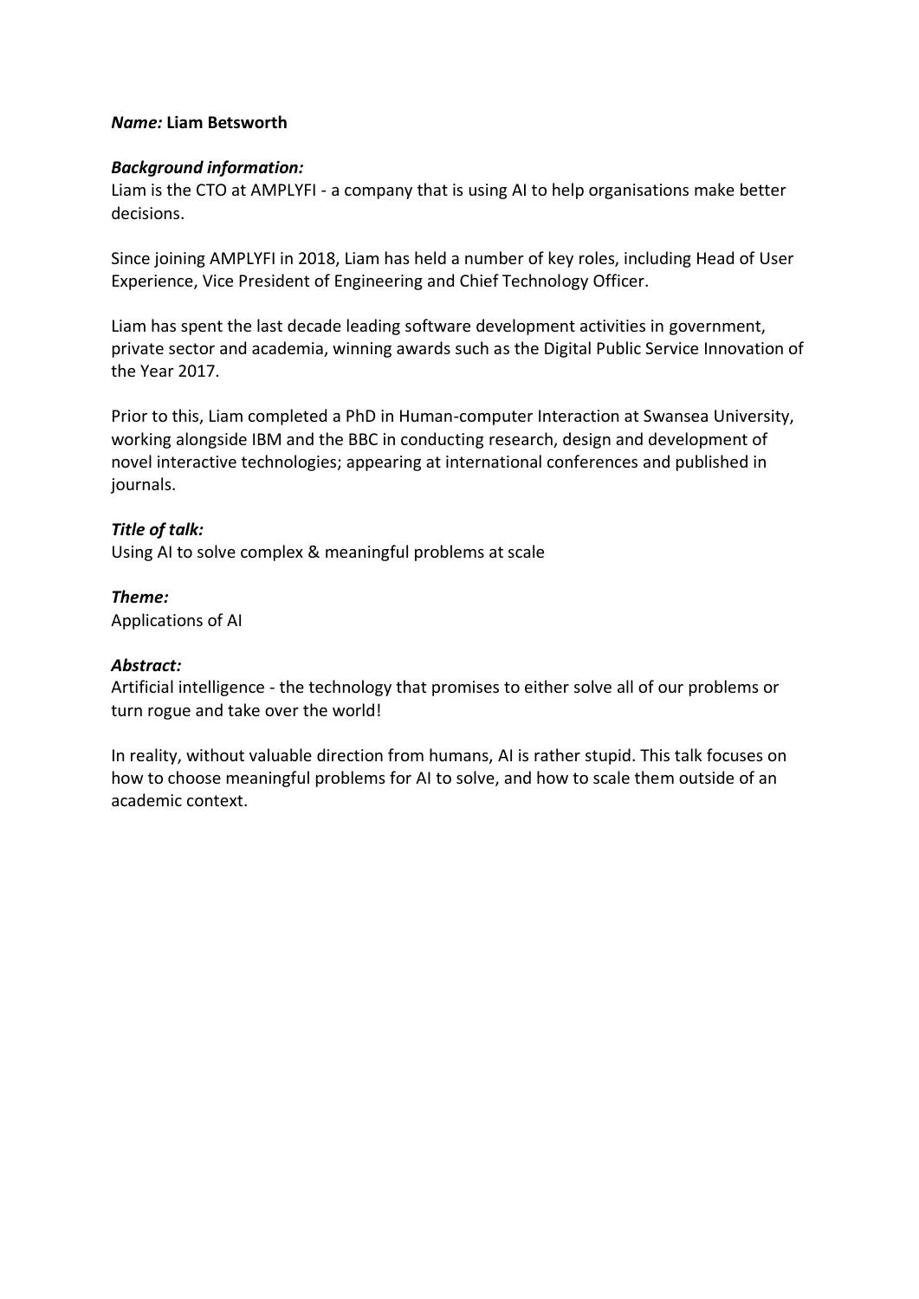# *Name:* **Liam Betsworth**

# *Background information:*

Liam is the CTO at AMPLYFI - a company that is using AI to help organisations make better decisions.

Since joining AMPLYFI in 2018, Liam has held a number of key roles, including Head of User Experience, Vice President of Engineering and Chief Technology Officer.

Liam has spent the last decade leading software development activities in government, private sector and academia, winning awards such as the Digital Public Service Innovation of the Year 2017.

Prior to this, Liam completed a PhD in Human-computer Interaction at Swansea University, working alongside IBM and the BBC in conducting research, design and development of novel interactive technologies; appearing at international conferences and published in journals.

# *Title of talk:*

Using AI to solve complex & meaningful problems at scale

*Theme:* Applications of AI

### *Abstract:*

Artificial intelligence - the technology that promises to either solve all of our problems or turn rogue and take over the world!

In reality, without valuable direction from humans, AI is rather stupid. This talk focuses on how to choose meaningful problems for AI to solve, and how to scale them outside of an academic context.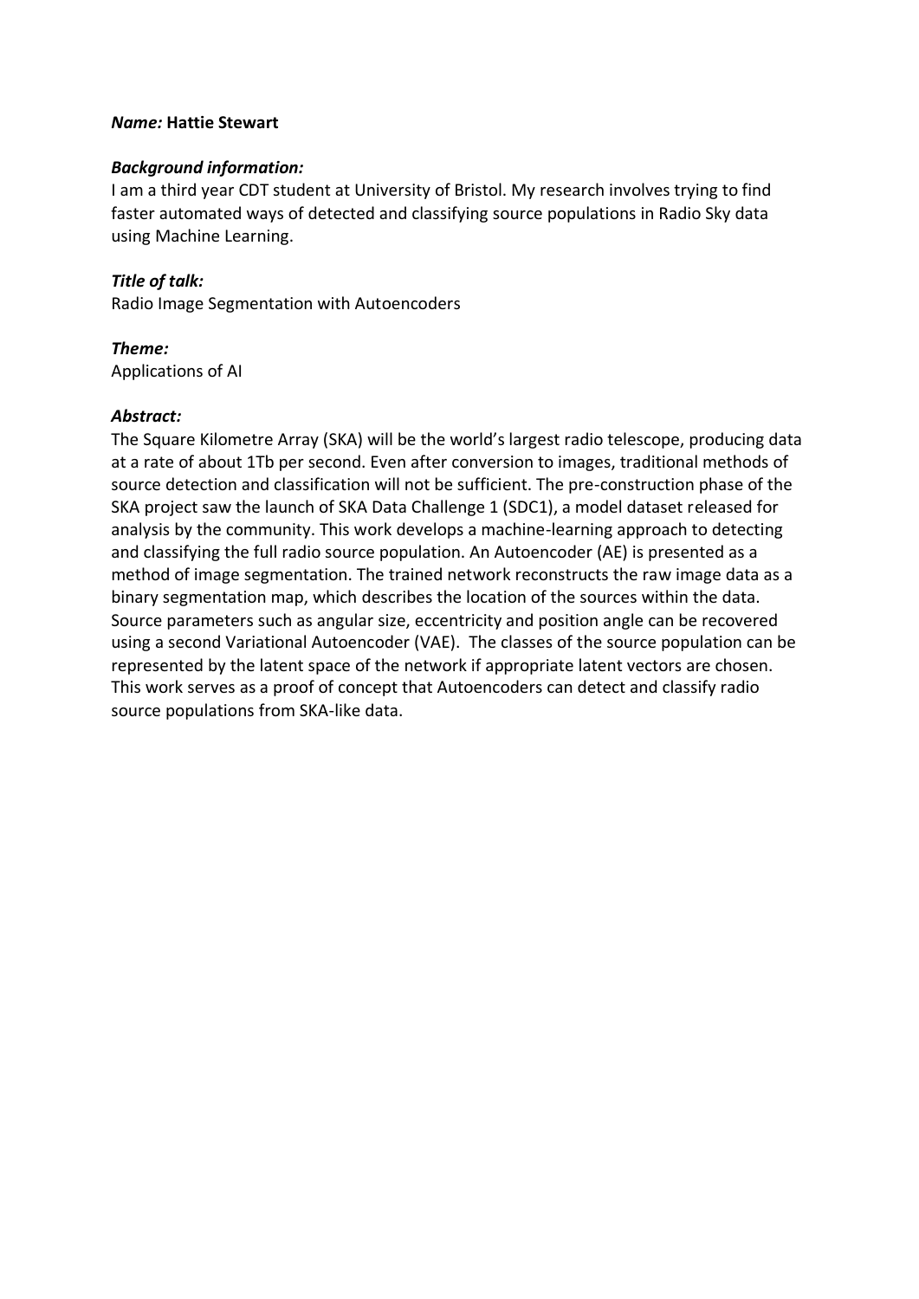### *Name:* **Hattie Stewart**

#### *Background information:*

I am a third year CDT student at University of Bristol. My research involves trying to find faster automated ways of detected and classifying source populations in Radio Sky data using Machine Learning.

# *Title of talk:*

Radio Image Segmentation with Autoencoders

# *Theme:*

Applications of AI

### *Abstract:*

The Square Kilometre Array (SKA) will be the world's largest radio telescope, producing data at a rate of about 1Tb per second. Even after conversion to images, traditional methods of source detection and classification will not be sufficient. The pre-construction phase of the SKA project saw the launch of SKA Data Challenge 1 (SDC1), a model dataset released for analysis by the community. This work develops a machine-learning approach to detecting and classifying the full radio source population. An Autoencoder (AE) is presented as a method of image segmentation. The trained network reconstructs the raw image data as a binary segmentation map, which describes the location of the sources within the data. Source parameters such as angular size, eccentricity and position angle can be recovered using a second Variational Autoencoder (VAE). The classes of the source population can be represented by the latent space of the network if appropriate latent vectors are chosen. This work serves as a proof of concept that Autoencoders can detect and classify radio source populations from SKA-like data.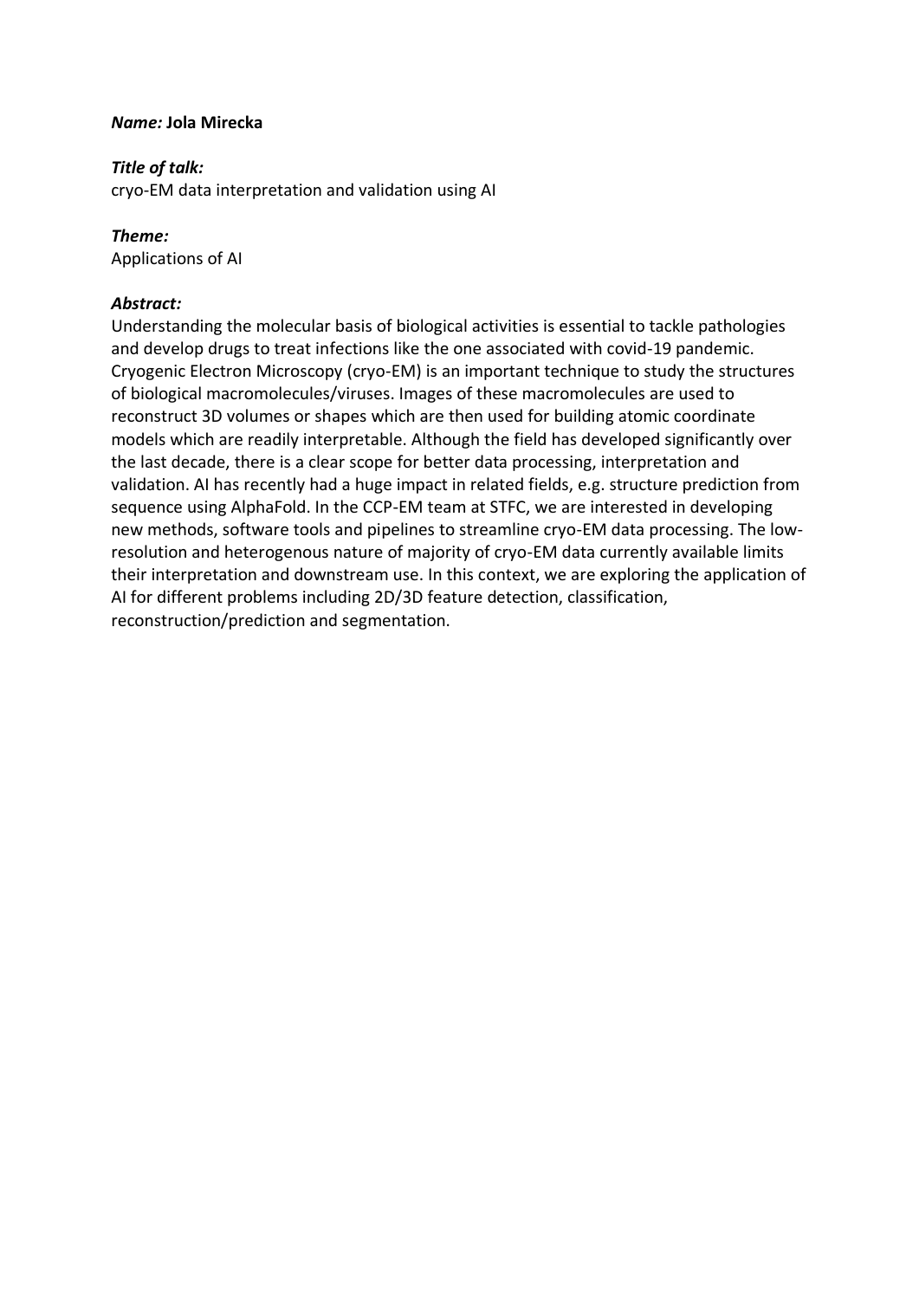## *Name:* **Jola Mirecka**

# *Title of talk:*

cryo-EM data interpretation and validation using AI

# *Theme:*

Applications of AI

# *Abstract:*

Understanding the molecular basis of biological activities is essential to tackle pathologies and develop drugs to treat infections like the one associated with covid-19 pandemic. Cryogenic Electron Microscopy (cryo-EM) is an important technique to study the structures of biological macromolecules/viruses. Images of these macromolecules are used to reconstruct 3D volumes or shapes which are then used for building atomic coordinate models which are readily interpretable. Although the field has developed significantly over the last decade, there is a clear scope for better data processing, interpretation and validation. AI has recently had a huge impact in related fields, e.g. structure prediction from sequence using AlphaFold. In the CCP-EM team at STFC, we are interested in developing new methods, software tools and pipelines to streamline cryo-EM data processing. The lowresolution and heterogenous nature of majority of cryo-EM data currently available limits their interpretation and downstream use. In this context, we are exploring the application of AI for different problems including 2D/3D feature detection, classification, reconstruction/prediction and segmentation.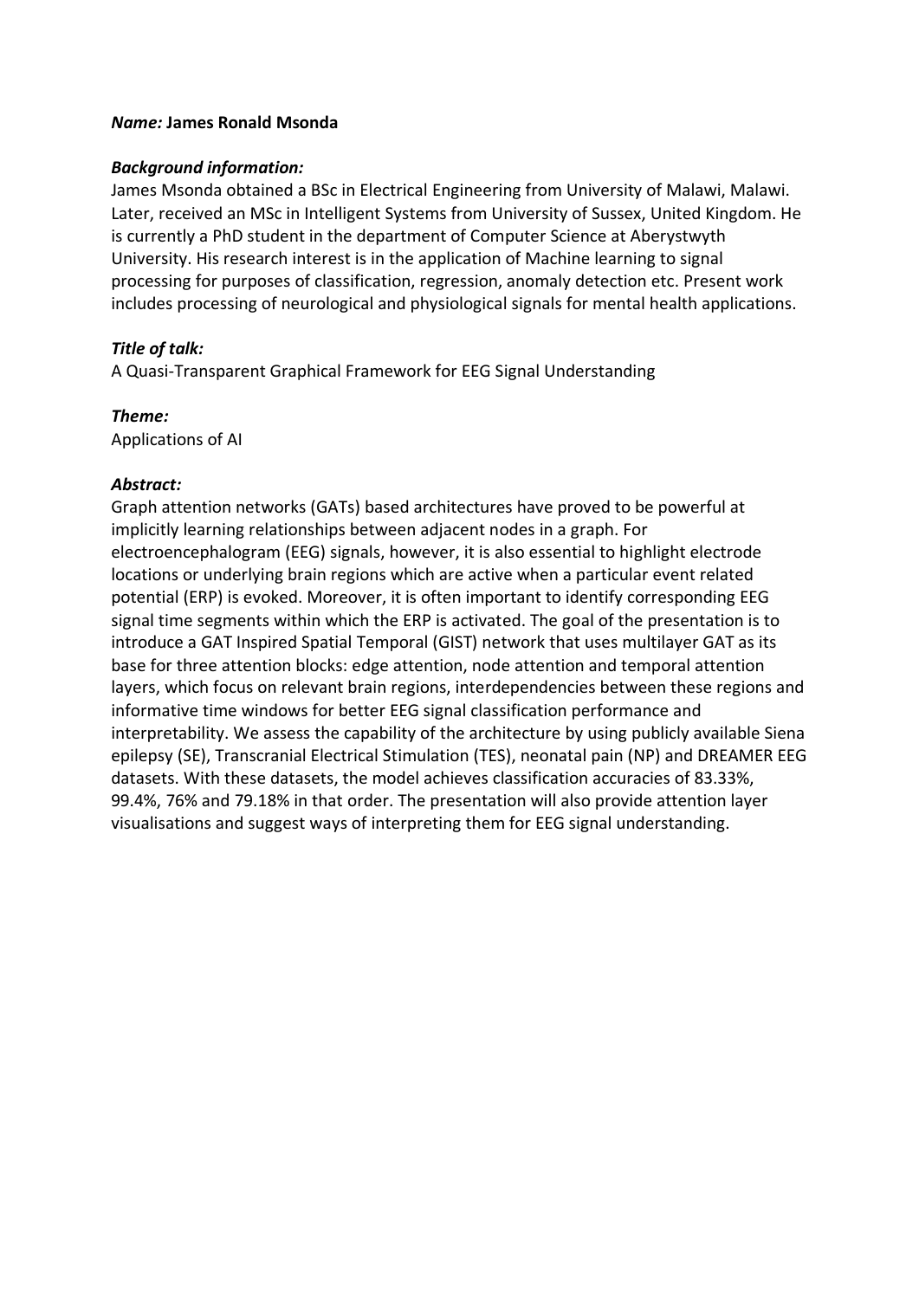### *Name:* **James Ronald Msonda**

#### *Background information:*

James Msonda obtained a BSc in Electrical Engineering from University of Malawi, Malawi. Later, received an MSc in Intelligent Systems from University of Sussex, United Kingdom. He is currently a PhD student in the department of Computer Science at Aberystwyth University. His research interest is in the application of Machine learning to signal processing for purposes of classification, regression, anomaly detection etc. Present work includes processing of neurological and physiological signals for mental health applications.

### *Title of talk:*

A Quasi-Transparent Graphical Framework for EEG Signal Understanding

*Theme:* Applications of AI

### *Abstract:*

Graph attention networks (GATs) based architectures have proved to be powerful at implicitly learning relationships between adjacent nodes in a graph. For electroencephalogram (EEG) signals, however, it is also essential to highlight electrode locations or underlying brain regions which are active when a particular event related potential (ERP) is evoked. Moreover, it is often important to identify corresponding EEG signal time segments within which the ERP is activated. The goal of the presentation is to introduce a GAT Inspired Spatial Temporal (GIST) network that uses multilayer GAT as its base for three attention blocks: edge attention, node attention and temporal attention layers, which focus on relevant brain regions, interdependencies between these regions and informative time windows for better EEG signal classification performance and interpretability. We assess the capability of the architecture by using publicly available Siena epilepsy (SE), Transcranial Electrical Stimulation (TES), neonatal pain (NP) and DREAMER EEG datasets. With these datasets, the model achieves classification accuracies of 83.33%, 99.4%, 76% and 79.18% in that order. The presentation will also provide attention layer visualisations and suggest ways of interpreting them for EEG signal understanding.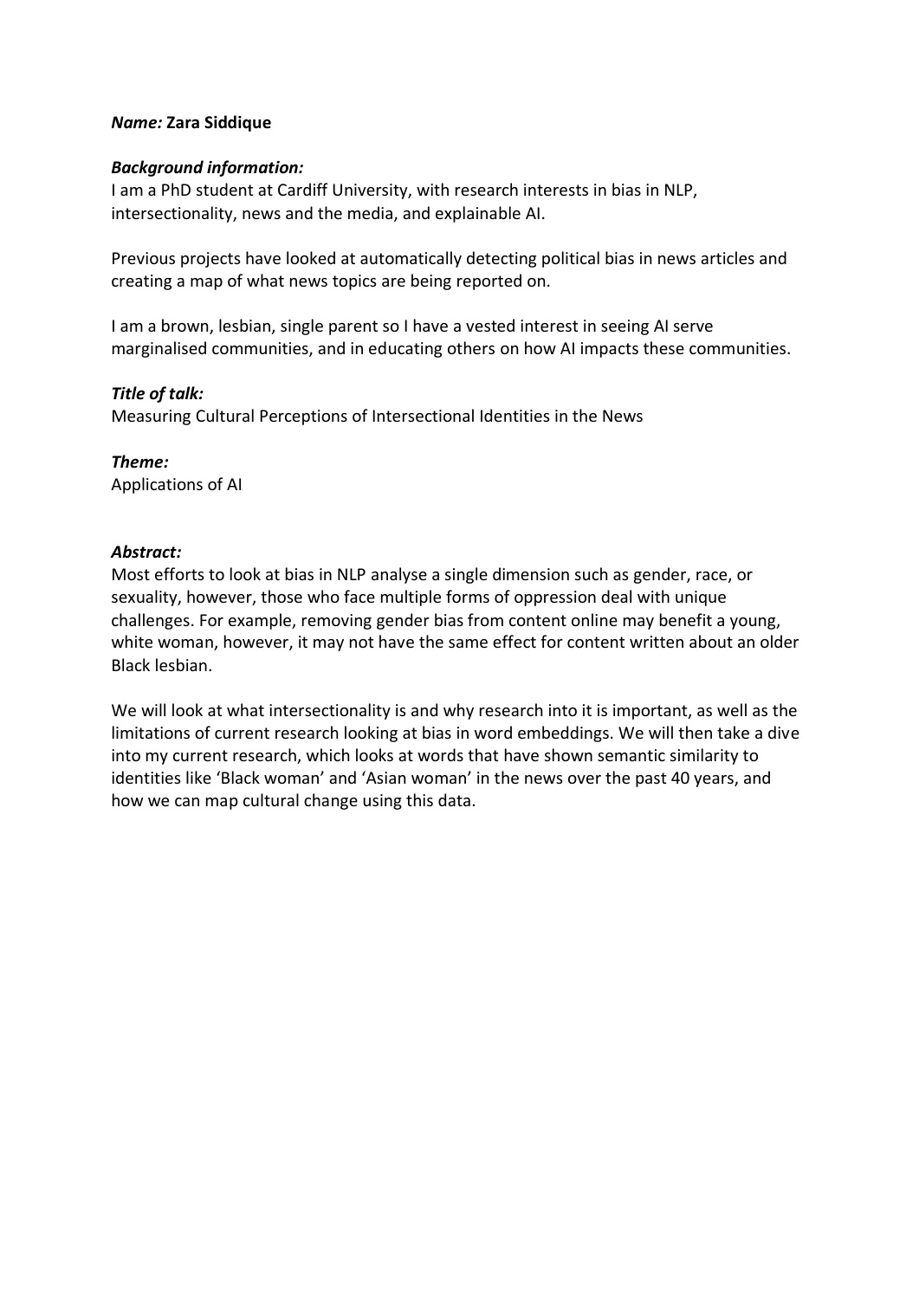## *Name:* **Zara Siddique**

## *Background information:*

I am a PhD student at Cardiff University, with research interests in bias in NLP, intersectionality, news and the media, and explainable AI.

Previous projects have looked at automatically detecting political bias in news articles and creating a map of what news topics are being reported on.

I am a brown, lesbian, single parent so I have a vested interest in seeing AI serve marginalised communities, and in educating others on how AI impacts these communities.

# *Title of talk:*

Measuring Cultural Perceptions of Intersectional Identities in the News

*Theme:* Applications of AI

# *Abstract:*

Most efforts to look at bias in NLP analyse a single dimension such as gender, race, or sexuality, however, those who face multiple forms of oppression deal with unique challenges. For example, removing gender bias from content online may benefit a young, white woman, however, it may not have the same effect for content written about an older Black lesbian.

We will look at what intersectionality is and why research into it is important, as well as the limitations of current research looking at bias in word embeddings. We will then take a dive into my current research, which looks at words that have shown semantic similarity to identities like 'Black woman' and 'Asian woman' in the news over the past 40 years, and how we can map cultural change using this data.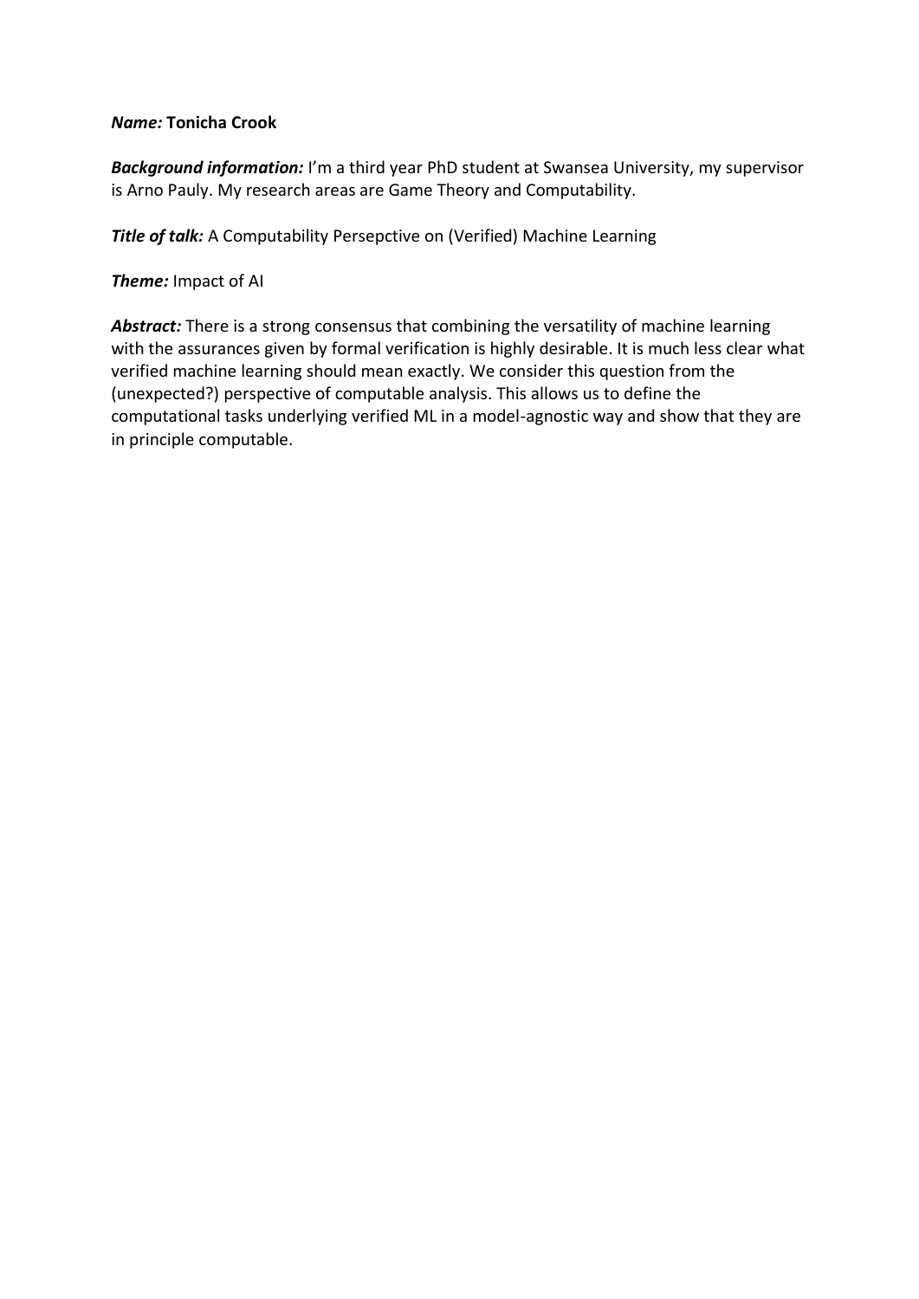## *Name:* **Tonicha Crook**

*Background information:* I'm a third year PhD student at Swansea University, my supervisor is Arno Pauly. My research areas are Game Theory and Computability.

**Title of talk:** A Computability Persepctive on (Verified) Machine Learning

*Theme:* Impact of AI

Abstract: There is a strong consensus that combining the versatility of machine learning with the assurances given by formal verification is highly desirable. It is much less clear what verified machine learning should mean exactly. We consider this question from the (unexpected?) perspective of computable analysis. This allows us to define the computational tasks underlying verified ML in a model-agnostic way and show that they are in principle computable.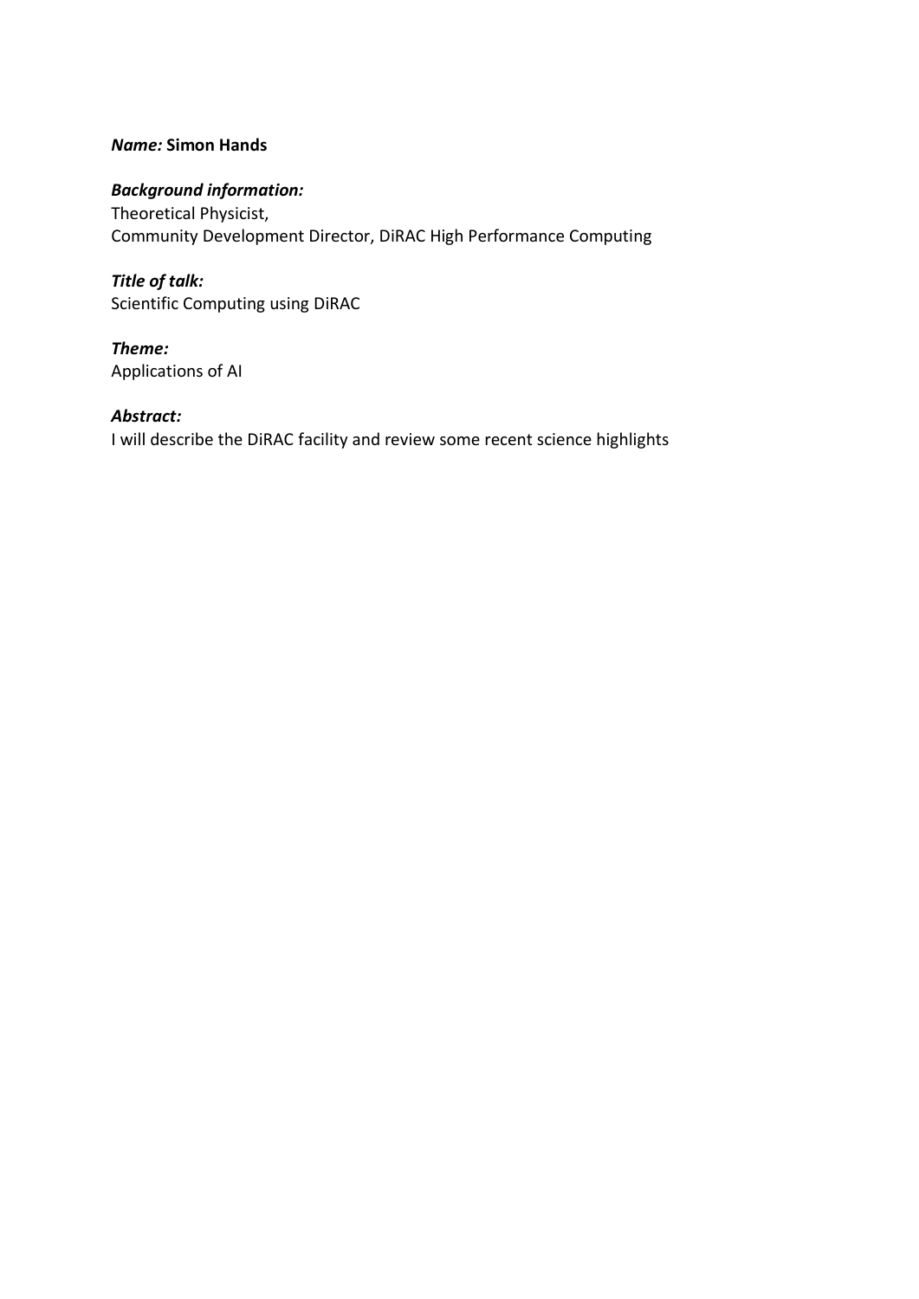# *Name:* **Simon Hands**

# *Background information:*

Theoretical Physicist, Community Development Director, DiRAC High Performance Computing

*Title of talk:* Scientific Computing using DiRAC

*Theme:* Applications of AI

# *Abstract:*

I will describe the DiRAC facility and review some recent science highlights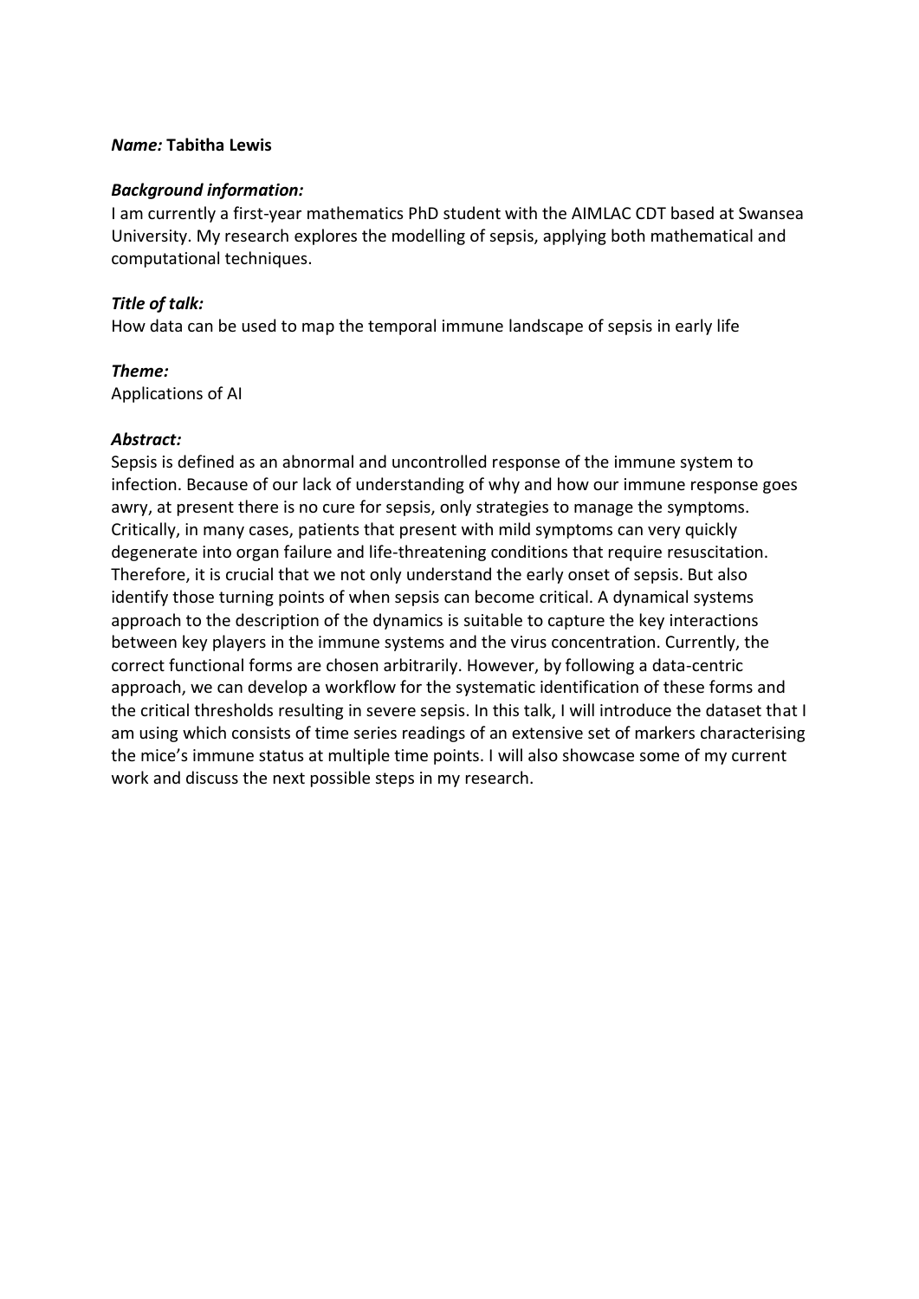#### *Name:* **Tabitha Lewis**

#### *Background information:*

I am currently a first-year mathematics PhD student with the AIMLAC CDT based at Swansea University. My research explores the modelling of sepsis, applying both mathematical and computational techniques.

### *Title of talk:*

How data can be used to map the temporal immune landscape of sepsis in early life

# *Theme:*

Applications of AI

### *Abstract:*

Sepsis is defined as an abnormal and uncontrolled response of the immune system to infection. Because of our lack of understanding of why and how our immune response goes awry, at present there is no cure for sepsis, only strategies to manage the symptoms. Critically, in many cases, patients that present with mild symptoms can very quickly degenerate into organ failure and life-threatening conditions that require resuscitation. Therefore, it is crucial that we not only understand the early onset of sepsis. But also identify those turning points of when sepsis can become critical. A dynamical systems approach to the description of the dynamics is suitable to capture the key interactions between key players in the immune systems and the virus concentration. Currently, the correct functional forms are chosen arbitrarily. However, by following a data-centric approach, we can develop a workflow for the systematic identification of these forms and the critical thresholds resulting in severe sepsis. In this talk, I will introduce the dataset that I am using which consists of time series readings of an extensive set of markers characterising the mice's immune status at multiple time points. I will also showcase some of my current work and discuss the next possible steps in my research.